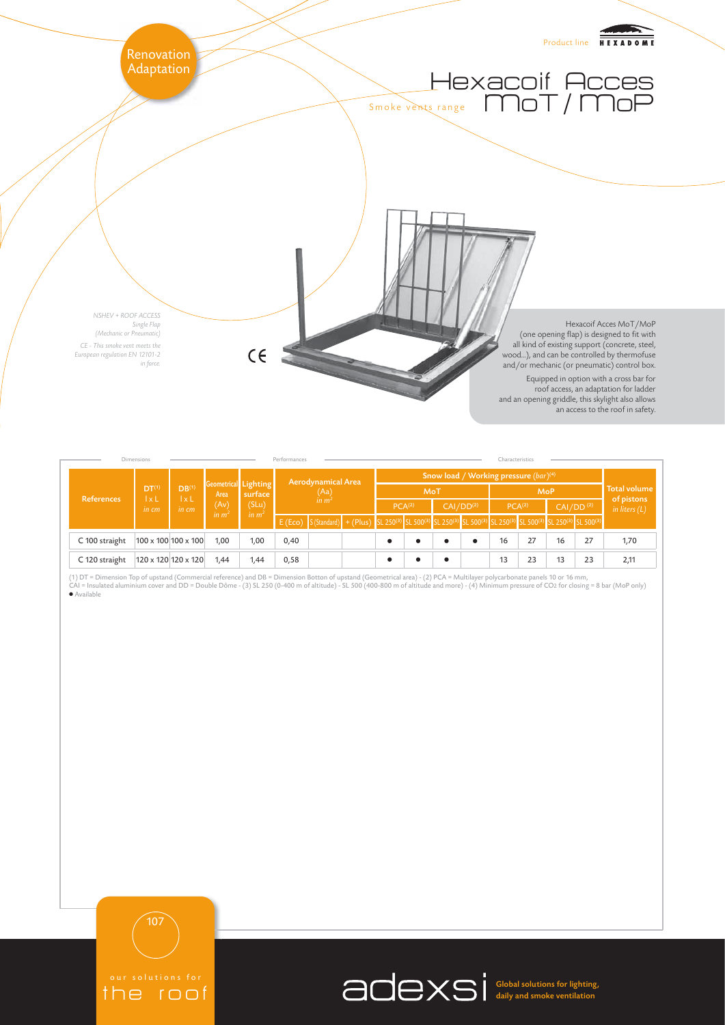

| Dimensions     | Performances                                  |                                                              |                                                           |                                       |                                          | Characteristics                                                                                                                                                                                                            |  |                                                   |           |                       |  |                    |    |                       |    |                                   |
|----------------|-----------------------------------------------|--------------------------------------------------------------|-----------------------------------------------------------|---------------------------------------|------------------------------------------|----------------------------------------------------------------------------------------------------------------------------------------------------------------------------------------------------------------------------|--|---------------------------------------------------|-----------|-----------------------|--|--------------------|----|-----------------------|----|-----------------------------------|
| References     | DT <sup>(1)</sup><br>$\vert x \vert$<br>in cm | DB <sup>(1)</sup><br>$\mathsf{I} \times \mathsf{L}$<br>in cm | Geometrical Lighting<br>Area<br>(Av)<br>in m <sup>2</sup> | surface<br>(SLu)<br>in m <sup>2</sup> | Aerodynamical Area<br>$(Aa)$<br>in $m^2$ |                                                                                                                                                                                                                            |  | Snow load / Working pressure (bar) <sup>(4)</sup> |           |                       |  |                    |    |                       |    |                                   |
|                |                                               |                                                              |                                                           |                                       |                                          |                                                                                                                                                                                                                            |  | MoT                                               |           |                       |  | <b>MoP</b>         |    |                       |    | <b>Total volume</b><br>of pistons |
|                |                                               |                                                              |                                                           |                                       |                                          |                                                                                                                                                                                                                            |  | PCA <sup>(2)</sup>                                |           | CAI/DD <sup>(2)</sup> |  | PCA <sup>(2)</sup> |    | CAI/DD <sup>(2)</sup> |    | in liters $(L)$                   |
|                |                                               |                                                              |                                                           |                                       | E(Eco)                                   | S(Standard) + (Plus) SL 250 <sup>(3)</sup> SL 500 <sup>(3)</sup> SL 250 <sup>(3)</sup> SL 250 <sup>(3)</sup> SL 500 <sup>(3)</sup> SL 250 <sup>(3)</sup> SL 500 <sup>(3)</sup> SL 250 <sup>(3)</sup> SL 500 <sup>(3)</sup> |  |                                                   |           |                       |  |                    |    |                       |    |                                   |
| C 100 straight |                                               | 100 x 100 100 x 100                                          | 1,00                                                      | 1,00                                  | 0,40                                     |                                                                                                                                                                                                                            |  |                                                   | $\bullet$ |                       |  | 16                 | 27 | 16                    | 27 | 1,70                              |
| C 120 straight |                                               | 120 x 120 120 x 120                                          | 1,44                                                      | 1,44                                  | 0,58                                     |                                                                                                                                                                                                                            |  |                                                   | $\bullet$ |                       |  | 13                 | 23 | 13                    | 23 | 2,11                              |

(1) DT = Dimension Top of upstand (Commercial reference) and DB = Dimension Botton of upstand (Geometrical area) - (2) PCA = Multilayer polycarbonate panels 10 or 16 mm, CAI = Insulated aluminium cover and DD = Double Dôme - (3) SL 250 (0-400 m of altitude) - SL 500 (400-800 m of altitude and more) - (4) Minimum pressure of CO2 for closing = 8 bar (MoP only) ● Available



107



Global solutions for lighting, daily and smoke ventilation